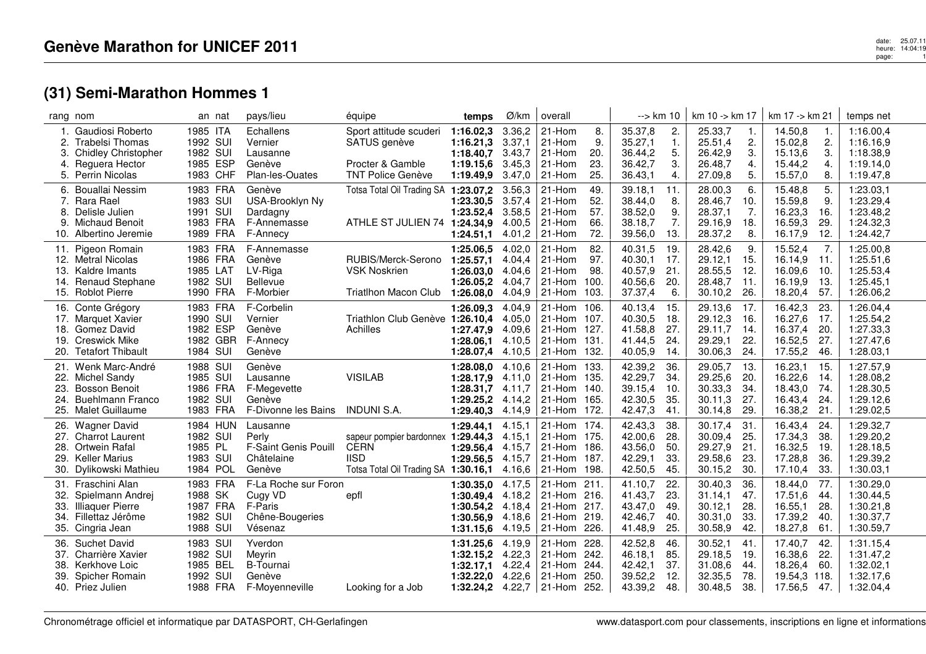|                                  | rang nom                                                                                                         | an nat                                                   | pays/lieu                                                                | équipe                                                                                                   | temps                                                                       | Ø/km                                           | overall                                                  |                                      | --> km 10                                           |                                        | $km 10 - k m 17$                                    |                                 | km 17 -> km 21                                      |                                    | temps net                                                     |
|----------------------------------|------------------------------------------------------------------------------------------------------------------|----------------------------------------------------------|--------------------------------------------------------------------------|----------------------------------------------------------------------------------------------------------|-----------------------------------------------------------------------------|------------------------------------------------|----------------------------------------------------------|--------------------------------------|-----------------------------------------------------|----------------------------------------|-----------------------------------------------------|---------------------------------|-----------------------------------------------------|------------------------------------|---------------------------------------------------------------|
| $\mathbf{1}$ .<br>2.<br>3.<br>4. | Gaudiosi Roberto<br><b>Trabelsi Thomas</b><br><b>Chidley Christopher</b><br>Reguera Hector<br>5. Perrin Nicolas  | 1985 ITA<br>1992 SUI<br>1982 SUI<br>1985 ESP<br>1983 CHF | Echallens<br>Vernier<br>Lausanne<br>Genève<br>Plan-les-Ouates            | Sport attitude scuderi<br>SATUS genève<br>Procter & Gamble<br><b>TNT Police Genève</b>                   | 1:16.02,3<br>1:16.21,3<br>1:18.40.7<br>1:19.15,6<br>1:19.49,9               | 3.36,2<br>3.37,1<br>3.43,7<br>3.45,3<br>3.47,0 | 21-Hom<br>21-Hom<br>21-Hom<br>21-Hom<br>21-Hom           | 8.<br>9.<br>20.<br>23.<br>25.        | 35.37,8<br>35.27,1<br>36.44,2<br>36.42,7<br>36.43,1 | 2.<br>$\mathbf{1}$ .<br>5.<br>3.<br>4. | 25.33,7<br>25.51,4<br>26.42,9<br>26.48,7<br>27.09,8 | -1.<br>2.<br>3.<br>4.<br>5.     | 14.50,8<br>15.02,8<br>15.13,6<br>15.44,2<br>15.57,0 | -1.<br>2.<br>3.<br>4.<br>8.        | 1:16.00,4<br>1:16.16.9<br>1:18.38,9<br>1:19.14,0<br>1:19.47,8 |
| 6.<br>7.<br>8.<br>9.<br>10.      | Bouallai Nessim<br>Rara Rael<br>Delisle Julien<br>Michaud Benoit<br>Albertino Jeremie                            | 1983 FRA<br>1983 SUI<br>1991 SUI<br>1983 FRA<br>1989 FRA | Genève<br>USA-Brooklyn Ny<br>Dardagny<br>F-Annemasse<br>F-Annecy         | Totsa Total Oil Trading SA 1:23.07,2<br>ATHLE ST JULIEN 74                                               | 1:23.30.5<br>1:23.52,4<br>1:24.34.9<br>1:24.51,1                            | 3.56,3<br>3.57,4<br>3.58,5<br>4.00,5<br>4.01,2 | 21-Hom<br>21-Hom<br>21-Hom<br>21-Hom<br>21-Hom           | 49.<br>52.<br>57.<br>66.<br>72.      | 39.18,1<br>38.44,0<br>38.52,0<br>38.18,7<br>39.56,0 | 11.<br>8.<br>9.<br>7.<br>13.           | 28.00,3<br>28.46,7<br>28.37,1<br>29.16,9<br>28.37,2 | 6.<br>10.<br>7.<br>18.<br>8.    | 15.48,8<br>15.59,8<br>16.23,3<br>16.59,3<br>16.17,9 | 5.<br>9.<br>16.<br>29.<br>12.      | 1:23.03,1<br>1:23.29,4<br>1:23.48,2<br>1:24.32,3<br>1:24.42,7 |
| 11.<br>14.<br>15.                | Pigeon Romain<br>12. Metral Nicolas<br>13. Kaldre Imants<br><b>Renaud Stephane</b><br><b>Roblot Pierre</b>       | 1983 FRA<br>1986 FRA<br>1985 LAT<br>1982 SUI<br>1990 FRA | F-Annemasse<br>Genève<br>LV-Riga<br><b>Bellevue</b><br>F-Morbier         | RUBIS/Merck-Serono<br><b>VSK Noskrien</b><br>Triatlhon Macon Club                                        | 1:25.06,5<br>1:25.57,1<br>1:26.03.0<br>1:26.05,2<br>1:26.08,0               | 4.02,0<br>4.04,4<br>4.04.6<br>4.04,7<br>4.04,9 | 21-Hom<br>21-Hom<br>21-Hom<br>21-Hom<br>21-Hom           | 82.<br>97.<br>98.<br>100.<br>103.    | 40.31,5<br>40.30,1<br>40.57,9<br>40.56,6<br>37.37,4 | 19.<br>17.<br>21.<br>20.<br>6.         | 28.42,6<br>29.12,1<br>28.55,5<br>28.48,7<br>30.10,2 | 9.<br>15.<br>12.<br>11.<br>26.  | 15.52,4<br>16.14,9<br>16.09.6<br>16.19,9<br>18.20,4 | 7.<br>11.<br>10.<br>13.<br>57.     | 1:25.00,8<br>1:25.51,6<br>1:25.53,4<br>1:25.45,1<br>1:26.06,2 |
| 16.<br>17.<br>18.<br>19.         | Conte Grégory<br><b>Marquet Xavier</b><br>Gomez David<br><b>Creswick Mike</b><br>Tetafort Thibault               | 1983 FRA<br>1990 SUI<br>1982 ESP<br>1982 GBR<br>1984 SUI | F-Corbelin<br>Vernier<br>Genève<br>F-Annecy<br>Genève                    | Triathlon Club Genève 1:26.10,4<br>Achilles                                                              | 1:26.09.3<br>1:27.47.9<br>1:28.06.1<br>1:28.07,4 4.10,5                     | 4.04.9<br>4.05,0<br>4.09.6<br>4.10.5           | 21-Hom 106.<br>21-Hom<br>21-Hom<br>21-Hom<br>21-Hom      | 107.<br>127.<br>131.<br>132.         | 40.13,4<br>40.30,5<br>41.58,8<br>41.44,5<br>40.05,9 | 15.<br>18.<br>27.<br>24.<br>14.        | 29.13,6<br>29.12,3<br>29.11,7<br>29.29,1<br>30.06,3 | 17.<br>16.<br>14.<br>22.<br>24. | 16.42,3<br>16.27,6<br>16.37,4<br>16.52,5<br>17.55,2 | 23.<br>17.<br>20.<br>27.<br>46.    | 1:26.04,4<br>1:25.54,2<br>1:27.33,3<br>1:27.47,6<br>1:28.03,1 |
| 21.<br>23.<br>24.                | Wenk Marc-André<br>22. Michel Sandy<br><b>Bosson Benoit</b><br><b>Buehlmann Franco</b><br>25. Malet Guillaume    | 1988 SUI<br>1985 SUI<br>1986 FRA<br>1982 SUI<br>1983 FRA | Genève<br>Lausanne<br>F-Megevette<br>Genève<br>F-Divonne les Bains       | <b>VISILAB</b><br>INDUNI S.A.                                                                            | 1:28.08,0<br>1:28.17,9<br>1:28.31.7<br>1:29.25,2<br>1:29.40,3               | 4.10,6<br>4.11,0<br>4.11,7<br>4.14,2<br>4.14,9 | 21-Hom<br>21-Hom<br>21-Hom<br>21-Hom<br>21-Hom           | 133.<br>135.<br>140.<br>165.<br>172. | 42.39,2<br>42.29,7<br>39.15,4<br>42.30,5<br>42.47,3 | 36.<br>34.<br>10.<br>35.<br>41.        | 29.05,7<br>29.25,6<br>30.33,3<br>30.11,3<br>30.14,8 | 13.<br>20.<br>34.<br>27.<br>29. | 16.23,1<br>16.22,6<br>18.43,0<br>16.43,4<br>16.38,2 | -15.<br>14.<br>74.<br>24.<br>21.   | 1:27.57,9<br>1:28.08,2<br>1:28.30,5<br>1:29.12,6<br>1:29.02,5 |
| 26.<br>28.<br>29.<br>30.         | <b>Wagner David</b><br>27. Charrot Laurent<br><b>Ortwein Rafal</b><br><b>Keller Marius</b><br>Dylikowski Mathieu | 1984 HUN<br>1982 SUI<br>1985 PL<br>1983 SUI<br>1984 POL  | Lausanne<br>Perly<br>F-Saint Genis Pouill<br>Châtelaine<br>Genève        | sapeur pompier bardonnex 1:29.44.3<br><b>CERN</b><br><b>IISD</b><br>Totsa Total Oil Trading SA 1:30.16,1 | 1:29.44,1<br>1:29.56,4<br>1:29.56.5                                         | 4.15,1<br>4.15.1<br>4.15,7<br>4.15.7<br>4.16,6 | 21-Hom 174.<br>21-Hom 175.<br>21-Hom<br>21-Hom<br>21-Hom | 186.<br>187.<br>198.                 | 42.43,3<br>42.00,6<br>43.56,0<br>42.29,1<br>42.50,5 | 38.<br>28.<br>50.<br>33.<br>45.        | 30.17,4<br>30.09.4<br>29.27,9<br>29.58,6<br>30.15,2 | 31.<br>25.<br>21.<br>23.<br>30. | 16.43,4<br>17.34.3<br>16.32,5<br>17.28,8<br>17.10,4 | 24.<br>38.<br>19.<br>36.<br>33.    | 1:29.32,7<br>1:29.20.2<br>1:28.18,5<br>1:29.39,2<br>1:30.03,1 |
| 31.<br>32.<br>34.                | Fraschini Alan<br>Spielmann Andrej<br>33. Illiaquer Pierre<br>Fillettaz Jérôme<br>35. Cingria Jean               | 1983 FRA<br>1988 SK<br>1987 FRA<br>1982 SUI<br>1988 SUI  | F-La Roche sur Foron<br>Cugy VD<br>F-Paris<br>Chêne-Bougeries<br>Vésenaz | epfl                                                                                                     | 1:30.35,0<br>1:30.49.4 4.18.2<br>1:30.54,2 4.18,4<br>1:30.56,9<br>1:31.15,6 | 4.17,5<br>4.18,6<br>4.19,5                     | 21-Hom<br>21-Hom 216.<br>21-Hom<br>21-Hom<br>21-Hom      | 211.<br>217.<br>219.<br>226.         | 41.10,7<br>41.43,7<br>43.47,0<br>42.46,7<br>41.48,9 | 22.<br>23.<br>49.<br>40.<br>25.        | 30.40,3<br>31.14,1<br>30.12,1<br>30.31,0<br>30.58,9 | 36.<br>47.<br>28.<br>33.<br>42. | 18.44,0<br>17.51,6<br>16.55,1<br>17.39,2<br>18.27,8 | 77.<br>44.<br>28.<br>40.<br>61.    | 1:30.29,0<br>1:30.44.5<br>1:30.21,8<br>1:30.37,7<br>1:30.59,7 |
| 36.<br>38.<br>39.                | <b>Suchet David</b><br>37. Charrière Xavier<br>Kerkhove Loic<br><b>Spicher Romain</b><br>40. Priez Julien        | 1983 SUI<br>1982 SUI<br>1985 BEL<br>1992 SUI<br>1988 FRA | Yverdon<br>Meyrin<br><b>B-Tournai</b><br>Genève<br>F-Moyenneville        | Looking for a Job                                                                                        | 1:31.25,6<br>1:32.15,2<br>1:32.17,1<br>1:32.22.0<br>1:32.24,2 4.22,7        | 4.19,9<br>4.22,3<br>4.22,4<br>4.22,6           | 21-Hom<br>21-Hom<br>21-Hom<br>21-Hom<br>21-Hom 252.      | 228.<br>242.<br>244.<br>250.         | 42.52,8<br>46.18,1<br>42.42,1<br>39.52,2<br>43.39,2 | 46.<br>85.<br>37.<br>12.<br>48.        | 30.52,1<br>29.18,5<br>31.08,6<br>32.35,5<br>30.48,5 | 41.<br>19.<br>44.<br>78.<br>38. | 17.40,7<br>16.38,6<br>18.26,4<br>19.54,3<br>17.56,5 | 42.<br>22.<br>-60.<br>-118.<br>47. | 1:31.15,4<br>1:31.47,2<br>1:32.02,1<br>1:32.17,6<br>1:32.04,4 |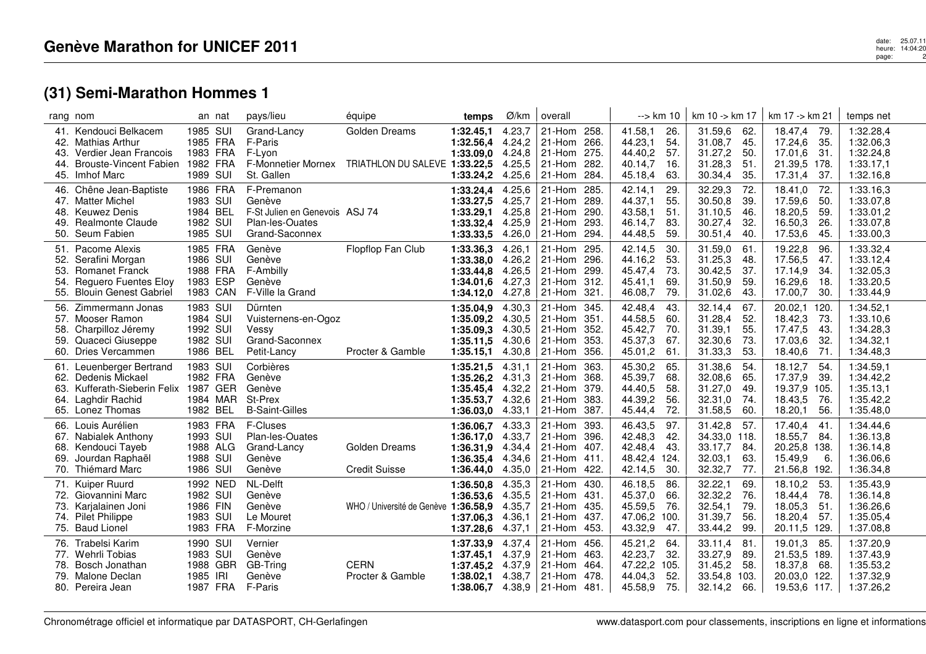| rang nom                 |                                                                                                                        | an nat                                                   | pays/lieu                                                                                   | équipe                                                            | temps                                                                  | Ø/km                                           | overall                                                 |                                      | --> km 10                                                                               | km 10 -> km 17                                                                          | km 17 -> km 21                                                                          | temps net                                                     |
|--------------------------|------------------------------------------------------------------------------------------------------------------------|----------------------------------------------------------|---------------------------------------------------------------------------------------------|-------------------------------------------------------------------|------------------------------------------------------------------------|------------------------------------------------|---------------------------------------------------------|--------------------------------------|-----------------------------------------------------------------------------------------|-----------------------------------------------------------------------------------------|-----------------------------------------------------------------------------------------|---------------------------------------------------------------|
| 42.<br>43.<br>44.        | 41. Kendouci Belkacem<br>Mathias Arthur<br>Verdier Jean Francois<br><b>Brouste-Vincent Fabien</b><br>45. Imhof Marc    | 1985 SUI<br>1985 FRA<br>1983 FRA<br>1982 FRA<br>1989 SUI | Grand-Lancy<br>F-Paris<br>F-Lvon<br>St. Gallen                                              | Golden Dreams<br>F-Monnetier Mornex TRIATHLON DU SALEVE 1:33.22,5 | 1:32.45,1<br>1:32.56,4<br>1:33.09.0<br>1:33.24,2                       | 4.23,7<br>4.24,2<br>4.24,8<br>4.25,5<br>4.25,6 | 21-Hom<br>21-Hom<br>21-Hom<br>21-Hom<br>21-Hom          | 258.<br>266.<br>275.<br>282.<br>284. | 41.58,1<br>26.<br>44.23,1<br>54.<br>44.40,2<br>57.<br>16.<br>40.14,7<br>45.18,4<br>63.  | 31.59,6<br>62.<br>31.08,7<br>45.<br>31.27,2<br>50.<br>31.28,3<br>51<br>30.34,4<br>35.   | 18.47,4<br>-79.<br>17.24,6<br>-35.<br>17.01,6<br>-31.<br>21.39,5 178.<br>17.31,4<br>37. | 1:32.28,4<br>1:32.06,3<br>1:32.24,8<br>1:33.17,1<br>1:32.16,8 |
| 49.                      | 46. Chêne Jean-Baptiste<br>47. Matter Michel<br>48. Keuwez Denis<br><b>Realmonte Claude</b><br>50. Seum Fabien         | 1986 FRA<br>1983 SUI<br>1984 BEL<br>1982 SUI<br>1985 SUI | F-Premanon<br>Genève<br>F-St Julien en Genevois ASJ 74<br>Plan-les-Ouates<br>Grand-Saconnex |                                                                   | 1:33.24,4<br>1:33.27,5<br>1:33.29,1<br>1:33.32,4<br>1:33.33,5          | 4.25,6<br>4.25,7<br>4.25,8<br>4.25,9<br>4.26,0 | 21-Hom<br>21-Hom<br>21-Hom<br>21-Hom<br>21-Hom          | 285.<br>289.<br>290.<br>293.<br>294. | 29.<br>42.14,1<br>44.37,1<br>55.<br>43.58,1<br>51.<br>46.14,7<br>83.<br>44.48,5<br>59.  | 72.<br>32.29,3<br>30.50,8<br>39.<br>31.10,5<br>46.<br>30.27,4<br>32.<br>30.51,4<br>40.  | 72.<br>18.41,0<br>17.59,6<br>50.<br>18.20,5<br>59.<br>16.50,3<br>26.<br>17.53,6<br>45.  | 1:33.16,3<br>1:33.07,8<br>1:33.01,2<br>1:33.07,8<br>1:33.00,3 |
| 52.<br>53.<br>54.<br>55. | 51. Pacome Alexis<br>Serafini Morgan<br><b>Romanet Franck</b><br>Reguero Fuentes Eloy<br><b>Blouin Genest Gabriel</b>  | 1985 FRA<br>1986 SUI<br>1988 FRA<br>1983 ESP<br>1983 CAN | Genève<br>Genève<br>F-Ambilly<br>Genève<br>F-Ville la Grand                                 | Flopflop Fan Club                                                 | 1:33.36,3<br>1:33.38,0<br>1:33.44,8<br>$1:34.01,6$ 4.27,3<br>1:34.12,0 | 4.26,1<br>4.26,2<br>4.26,5<br>4.27,8           | 21-Hom<br>21-Hom<br>21-Hom<br>21-Hom<br>21-Hom          | 295.<br>296.<br>299.<br>312.<br>321. | 42.14,5<br>30.<br>44.16,2<br>53.<br>45.47,4<br>-73.<br>45.41,1<br>69.<br>46.08,7<br>79. | 31.59,0<br>61<br>31.25,3<br>48.<br>30.42,5<br>37.<br>31.50,9<br>59.<br>31.02,6<br>43.   | 19.22,8<br>96.<br>17.56,5<br>47.<br>34.<br>17.14,9<br>16.29,6<br>18.<br>17.00,7<br>30.  | 1:33.32,4<br>1:33.12,4<br>1:32.05,3<br>1:33.20,5<br>1:33.44,9 |
| 56.<br>57.<br>58.<br>59. | Zimmermann Jonas<br>Mooser Ramon<br>Charpilloz Jéremy<br>Quaceci Giuseppe<br>60. Dries Vercammen                       | 1983 SUI<br>1984 SUI<br>1992 SUI<br>1982 SUI<br>1986 BEL | Dürnten<br>Vuisternens-en-Ogoz<br>Vessy<br>Grand-Saconnex<br>Petit-Lancy                    | Procter & Gamble                                                  | 1:35.04,9<br>1:35.09,2<br>1:35.09,3<br>$1:35.11,5$ 4.30,6<br>1:35.15,1 | 4.30,3<br>4.30,5<br>4.30,5<br>4.30,8           | 21-Hom<br>21-Hom<br>21-Hom<br>21-Hom<br>21-Hom          | 345.<br>351.<br>352.<br>353.<br>356. | 42.48,4<br>43.<br>44.58,5<br>60.<br>45.42,7<br>70.<br>45.37,3<br>67.<br>45.01,2<br>61.  | 32.14,4<br>67.<br>31.28,4<br>52.<br>31.39,1<br>55.<br>32.30,6<br>73.<br>31.33,3<br>53.  | 20.02,1<br>120.<br>18.42,3<br>73.<br>17.47,5<br>43.<br>32.<br>17.03,6<br>18.40,6<br>71. | 1:34.52,1<br>1:33.10,6<br>1:34.28,3<br>1:34.32,1<br>1:34.48,3 |
| 61.<br>62.<br>63.        | Leuenberger Bertrand<br>Dedenis Mickael<br>Kufferath-Sieberin Felix 1987 GER<br>64. Laghdir Rachid<br>65. Lonez Thomas | 1983 SUI<br>1982 FRA<br>1984 MAR<br>1982 BEL             | Corbières<br>Genève<br>Genève<br>St-Prex<br><b>B-Saint-Gilles</b>                           |                                                                   | 1:35.21,5<br>1:35.26,2<br>1:35.45,4<br>1:35.53,7<br>1:36.03,0          | 4.31,1<br>4.31,3<br>4.32,2<br>4.32,6<br>4.33,1 | 21-Hom<br>21-Hom<br>21-Hom<br>21-Hom<br>21-Hom          | 363.<br>368.<br>379.<br>383.<br>387. | 45.30,2<br>65.<br>45.39,7<br>68.<br>44.40,5<br>58.<br>44.39,2<br>56.<br>72.<br>45.44,4  | 31.38,6<br>54.<br>32.08,6<br>65.<br>31.27,0<br>49.<br>32.31,0<br>74.<br>31.58,5<br>60.  | 18.12,7<br>54.<br>17.37,9<br>39.<br>19.37,9<br>105.<br>76.<br>18.43,5<br>18.20,1<br>56. | 1:34.59,1<br>1:34.42,2<br>1:35.13,1<br>1:35.42,2<br>1:35.48,0 |
| 68.<br>69.<br>70.        | 66. Louis Aurélien<br>67. Nabialek Anthony<br>Kendouci Tayeb<br>Jourdan Raphaël<br>Thiémard Marc                       | 1983 FRA<br>1993 SUI<br>1988 ALG<br>1988 SUI<br>1986 SUI | F-Cluses<br>Plan-les-Ouates<br>Grand-Lancy<br>Genève<br>Genève                              | Golden Dreams<br><b>Credit Suisse</b>                             | 1:36.06,7<br>1:36.17,0<br>1:36.31,9<br>$1:36.35,4$ 4.34,6<br>1:36.44,0 | 4.33,3<br>4.33,7<br>4.34,4<br>4.35,0           | 21-Hom<br>21-Hom<br>21-Hom<br>21-Hom<br>21-Hom          | 393.<br>396.<br>407.<br>411.<br>422. | 46.43,5<br>97.<br>42.48,3<br>42.<br>42.48,4<br>43.<br>48.42,4<br>124.<br>42.14,5<br>30. | 31.42,8<br>57.<br>34.33,0 118.<br>33.17,7<br>84.<br>32.03,1<br>63.<br>32.32,7<br>77.    | 17.40,4<br>41<br>18.55,7<br>-84.<br>20.25,8 138.<br>15.49,9<br>6.<br>21.56,8<br>192.    | 1:34.44,6<br>1:36.13,8<br>1:36.14,8<br>1:36.06,6<br>1:36.34,8 |
| 72.<br>73.<br>75.        | 71. Kuiper Ruurd<br>Giovannini Marc<br>Karjalainen Joni<br>74. Pilet Philippe<br><b>Baud Lionel</b>                    | 1992 NED<br>1982 SUI<br>1986 FIN<br>1983 SUI<br>1983 FRA | NL-Delft<br>Genève<br>Genève<br>Le Mouret<br>F-Morzine                                      | WHO / Université de Genève 1:36.58,9                              | 1:36.50.8<br>1:36.53,6<br>1:37.06.3<br>1:37.28,6                       | 4.35,3<br>4.35,5<br>4.35,7<br>4.36,1<br>4.37,1 | 21-Hom<br>21-Hom<br>21-Hom<br>21-Hom<br>21-Hom          | 430.<br>431.<br>435.<br>437.<br>453. | 46.18,5<br>86.<br>45.37,0<br>66.<br>45.59,5<br>76.<br>47.06,2<br>100.<br>43.32,9<br>47. | 32.22,1<br>69.<br>32.32,2<br>76.<br>32.54,1<br>79.<br>31.39,7<br>56.<br>33.44,2<br>99.  | 18.10,2<br>53.<br>18.44,4<br>-78.<br>18.05,3<br>51<br>18.20,4<br>-57.<br>20.11,5 129.   | 1:35.43,9<br>1:36.14,8<br>1:36.26,6<br>1:35.05.4<br>1:37.08,8 |
| 76.<br>77.<br>78.        | Trabelsi Karim<br>Wehrli Tobias<br>Bosch Jonathan<br>79. Malone Declan<br>80. Pereira Jean                             | 1990 SUI<br>1983 SUI<br>1988 GBR<br>1985 IRI<br>1987 FRA | Vernier<br>Genève<br>GB-Tring<br>Genève<br>F-Paris                                          | <b>CERN</b><br>Procter & Gamble                                   | 1:37.33,9<br>1:37.45.1<br>1:37.45,2<br>1:38.02,1<br>1:38.06.7          | 4.37,4<br>4.37,9<br>4.37,9<br>4.38,7<br>4.38,9 | 21-Hom<br>21-Hom<br>21-Hom<br>21-Hom<br>  21-Hom $481.$ | 456.<br>463.<br>464.<br>478.         | 45.21,2<br>64.<br>42.23,7<br>32.<br>47.22,2<br>105.<br>44.04,3<br>52.<br>45.58,9<br>75. | 33.11,4<br>81.<br>33.27,9<br>89.<br>31.45,2<br>58.<br>33.54,8<br>103.<br>66.<br>32.14,2 | 19.01,3<br>85.<br>21.53,5 189.<br>18.37,8<br>68.<br>20.03,0 122.<br>19.53,6 117.        | 1:37.20,9<br>1:37.43,9<br>1:35.53,2<br>1:37.32,9<br>1:37.26,2 |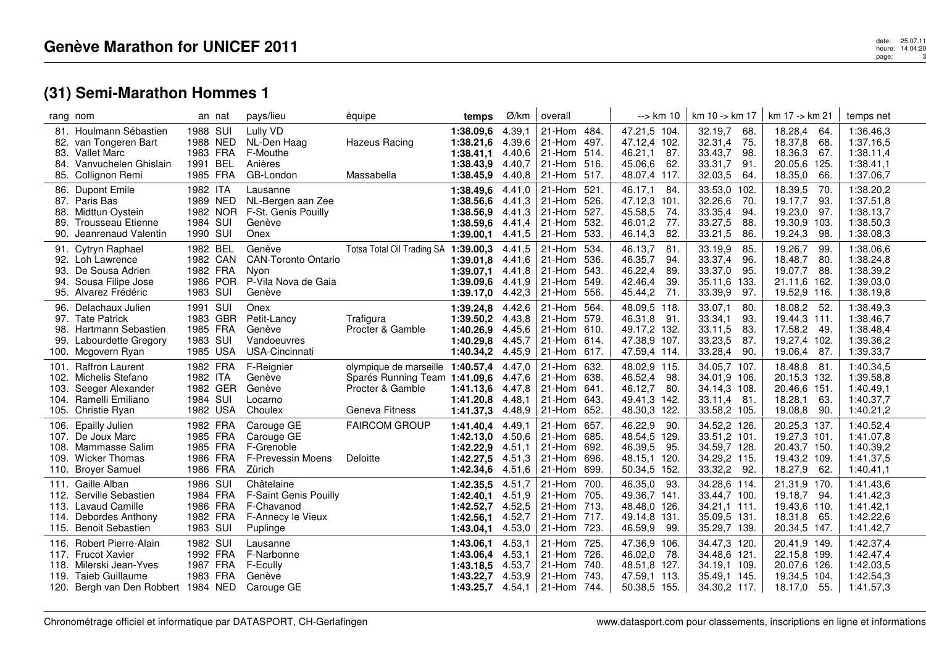## date: 25.07.11<br>heure: 14:04:20<br>age: 14:04:20120 page:3

|                   | rang nom                                                                                                                                 |                                                          | an nat   | pays/lieu                                                                                 | équipe                                                                                                         | temps                                                                       | Ø/km                                           | overall                                                            |                                      | --> km 10                                                                                 | km 10 -> km 17                                                                         | km 17 -> km 21                                                                          | temps net                                                     |
|-------------------|------------------------------------------------------------------------------------------------------------------------------------------|----------------------------------------------------------|----------|-------------------------------------------------------------------------------------------|----------------------------------------------------------------------------------------------------------------|-----------------------------------------------------------------------------|------------------------------------------------|--------------------------------------------------------------------|--------------------------------------|-------------------------------------------------------------------------------------------|----------------------------------------------------------------------------------------|-----------------------------------------------------------------------------------------|---------------------------------------------------------------|
|                   | 81. Houlmann Sébastien<br>82. van Tongeren Bart<br>83. Vallet Marc<br>84. Vanvuchelen Ghislain<br>85. Collignon Remi                     | 1988 SUI<br>1988 NED<br>1983 FRA<br>1991 BEL<br>1985 FRA |          | Lully VD<br>NL-Den Haag<br>F-Mouthe<br>Anières<br>GB-London                               | <b>Hazeus Racing</b><br>Massabella                                                                             | 1:38.09,6<br>1:38.21,6<br>1:38.41,1<br>1:38.43,9<br>1:38.45,9               | 4.39,1<br>4.39,6<br>4.40,6<br>4.40,7<br>4.40,8 | 21-Hom 484.<br>21-Hom 497.<br>21-Hom 514.<br>21-Hom 516.<br>21-Hom | 517.                                 | 47.21,5 104.<br>47.12,4 102.<br>46.21,1<br>87.<br>45.06,6<br>62.<br>48.07,4 117.          | 32.19,7<br>68.<br>32.31,4<br>75.<br>33.43,7<br>98.<br>33.31,7<br>91.<br>32.03,5<br>64. | 18.28,4<br>64.<br>18.37,8<br>68.<br>18.36,3<br>67<br>20.05,6<br>125.<br>18.35,0<br>66.  | 1:36.46,3<br>1:37.16,5<br>1:38.11,4<br>1:38.41,1<br>1:37.06,7 |
| 88.<br>89.<br>90. | 86. Dupont Emile<br>87. Paris Bas<br>Midttun Oystein<br>Trousseau Etienne<br>Jeanrenaud Valentin                                         | 1982 ITA<br>1989 NED<br>1984 SUI<br>1990 SUI             | 1982 NOR | Lausanne<br>NL-Bergen aan Zee<br>F-St. Genis Pouilly<br>Genève<br>Onex                    |                                                                                                                | 1:38.49,6<br>1:38.56,6<br>1:38.56.9<br>1:38.59,6<br>1:39.00,1               | 4.41,0<br>4.41,3<br>4.41,3<br>4.41,4<br>4.41,5 | 21-Hom 521.<br>21-Hom<br>21-Hom<br>21-Hom<br>21-Hom                | 526.<br>527.<br>532.<br>533.         | 46.17,1<br>-84.<br>47.12,3<br>101.<br>45.58,5<br>74.<br>46.01,2<br>77.<br>82.<br>46.14,3  | 33.53,0 102.<br>32.26,6<br>-70.<br>33.35,4<br>94.<br>33.27,5<br>88.<br>33.21,5<br>86.  | 18.39,5<br>70.<br>19.17,7<br>93.<br>19.23,0<br>97.<br>19.30,9<br>103.<br>19.24,3<br>98. | 1:38.20,2<br>1:37.51,8<br>1:38.13,7<br>1:38.50,3<br>1:38.08,3 |
| 91.<br>93.<br>94. | Cytryn Raphael<br>92. Loh Lawrence<br>De Sousa Adrien<br>Sousa Filipe Jose<br>95. Alvarez Frédéric                                       | 1982 BEL<br>1982 CAN<br>1982 FRA<br>1986 POR<br>1983 SUI |          | Genève<br><b>CAN-Toronto Ontario</b><br>Nyon<br>P-Vila Nova de Gaia<br>Genève             | Totsa Total Oil Trading SA 1:39.00,3                                                                           | 1:39.01,8<br>1:39.07.1<br>1:39.09,6<br>1:39.17,0                            | 4.41,5<br>4.41,6<br>4.41,8<br>4.41,9<br>4.42,3 | 21-Hom<br>21-Hom<br>21-Hom<br>21-Hom<br>21-Hom                     | 534.<br>536.<br>543.<br>549.<br>556. | 46.13,7<br>81<br>46.35,7<br>94.<br>46.22,4<br>89.<br>42.46,4<br>39.<br>45.44,2<br>71.     | 33.19,9<br>85.<br>33.37,4<br>96.<br>33.37,0<br>95.<br>35.11,6 133.<br>33.39,9<br>97.   | 19.26,7<br>99.<br>18.48,7<br>-80.<br>19.07,7<br>88.<br>21.11,6 162.<br>19.52,9 116.     | 1:38.06,6<br>1:38.24,8<br>1:38.39,2<br>1:39.03,0<br>1:38.19,8 |
| 96.<br>98.<br>99. | Delachaux Julien<br>97. Tate Patrick<br>Hartmann Sebastien<br>Labourdette Gregory<br>100. Mcgovern Ryan                                  | 1991 SUI<br>1983 GBR<br>1985 FRA<br>1983 SUI<br>1985 USA |          | Onex<br>Petit-Lancy<br>Genève<br>Vandoeuvres<br>USA-Cincinnati                            | Trafigura<br>Procter & Gamble                                                                                  | 1:39.24,8<br>1:39.50,2 4.43,8<br>1:40.26,9<br>1:40.29,8<br>1:40.34,2 4.45,9 | 4.42,6<br>4.45.6<br>4.45,7                     | 21-Hom<br>21-Hom 579.<br>21-Hom 610.<br>21-Hom 614.<br>21-Hom 617. | 564.                                 | 48.09,5 118.<br>46.31,8<br>91.<br>49.17,2 132.<br>47.38,9<br>107.<br>47.59,4 114.         | 33.07,1<br>80.<br>33.34,1<br>93.<br>33.11,5<br>83.<br>33.23,5<br>87.<br>33.28,4<br>90. | 18.08,2<br>-52.<br>19.44,3 111.<br>17.58,2<br>-49.<br>19.27,4 102.<br>19.06,4 87.       | 1:38.49,3<br>1:38.46,7<br>1:38.48,4<br>1:39.36,2<br>1:39.33,7 |
| 101.              | <b>Raffron Laurent</b><br>102. Michelis Stefano<br>103. Seeger Alexander<br>104. Ramelli Emiliano<br>105. Christie Ryan                  | 1982 FRA<br>1982 ITA<br>1982 GER<br>1984 SUI<br>1982 USA |          | F-Reignier<br>Genève<br>Genève<br>Locarno<br>Choulex                                      | olympique de marseille 1:40.57,4<br>Sparés Running Team 1:41.09,6 4.47,6<br>Procter & Gamble<br>Geneva Fitness | 1:41.13,6<br>1:41.20.8<br>1:41.37,3                                         | 4.47,0<br>4.47,8<br>4.48.1<br>4.48,9           | 21-Hom<br>21-Hom 638.<br>21-Hom 641.<br>21-Hom 643.<br>21-Hom 652. | 632.                                 | 48.02,9 115.<br>46.52,4<br>98.<br>46.12,7<br>-80.<br>49.41,3<br>142.<br>48.30,3 122.      | 34.05,7 107.<br>34.01,9 106.<br>34.14,3 108.<br>33.11,4 81.<br>33.58,2 105.            | 18.48,8<br>81<br>20.15,3 132.<br>20.46,6 151.<br>18.28,1<br>63.<br>19.08,8<br>90.       | 1:40.34,5<br>1:39.58,8<br>1:40.49,1<br>1:40.37,7<br>1:40.21,2 |
| 108.              | 106. Epailly Julien<br>107. De Joux Marc<br>Mammasse Salim<br>109. Wicker Thomas<br>110. Broyer Samuel                                   | 1982 FRA<br>1985 FRA<br>1985 FRA<br>1986 FRA<br>1986 FRA |          | Carouge GE<br>Carouge GE<br>F-Grenoble<br>F-Prevessin Moens<br>Zürich                     | <b>FAIRCOM GROUP</b><br><b>Deloitte</b>                                                                        | 1:41.40.4<br>1:42.13,0<br>1:42.22,9<br>1:42.27,5<br>1:42.34,6               | 4.49,1<br>4.50,6<br>4.51,1<br>4.51,3<br>4.51,6 | 21-Hom<br>21-Hom<br>21-Hom 692.<br>21-Hom<br>21-Hom 699.           | 657.<br>685.<br>696.                 | 46.22,9<br>90.<br>48.54,5<br>129.<br>46.39,5<br>95.<br>48.15,1<br>120.<br>50.34,5<br>152. | 34.52,2 126.<br>33.51,2 101.<br>34.59,7 128.<br>34.29,2 115.<br>33.32,2<br>92.         | 20.25,3 137.<br>19.27,3 101.<br>20.43,7 150.<br>19.43,2 109.<br>18.27,9<br>62.          | 1:40.52,4<br>1:41.07,8<br>1:40.39,2<br>1:41.37,5<br>1:40.41,1 |
| 111.              | Gaille Alban<br>112. Serville Sebastien<br>113. Lavaud Camille<br>114. Debordes Anthony<br>115. Benoit Sebastien                         | 1986 SUI<br>1984 FRA<br>1986 FRA<br>1982 FRA<br>1983 SUI |          | Châtelaine<br><b>F-Saint Genis Pouilly</b><br>F-Chavanod<br>F-Annecy le Vieux<br>Puplinge |                                                                                                                | 1:42.35,5<br>1:42.40.1<br>1:42.52,7<br>1:42.56,1<br>1:43.04,1               | 4.51.7<br>4.51.9<br>4.52,5<br>4.52,7<br>4.53,0 | 21-Hom<br>21-Hom 705.<br>21-Hom<br>21-Hom<br>21-Hom 723.           | 700.<br>713.<br>717.                 | 46.35,0<br>93.<br>49.36,7<br>141.<br>48.48,0 126.<br>49.14,8<br>131.<br>46.59,9<br>99.    | 34.28,6 114.<br>33.44,7 100.<br>34.21,1 111.<br>35.09,5 131.<br>35.29,7 139.           | 21.31,9<br>170.<br>19.18,7<br>-94.<br>19.43,6 110.<br>18.31,8<br>65.<br>20.34,5 147.    | 1:41.43,6<br>1:41.42,3<br>1:41.42,1<br>1:42.22,6<br>1:41.42,7 |
|                   | 116. Robert Pierre-Alain<br>117. Frucot Xavier<br>118. Milerski Jean-Yves<br>119. Taieb Guillaume<br>120. Bergh van Den Robbert 1984 NED | 1982 SUI<br>1992 FRA<br>1987 FRA<br>1983 FRA             |          | Lausanne<br>F-Narbonne<br>F-Ecully<br>Genève<br>Carouge GE                                |                                                                                                                | 1:43.06.1<br>1:43.06,4<br>1:43.18.5<br>1:43.22,7<br>1:43.25,7               | 4.53,1<br>4.53,1<br>4.53.7<br>4.53.9<br>4.54,1 | 21-Hom 725.<br>21-Hom 726.<br>21-Hom<br>21-Hom<br>21-Hom 744.      | 740.<br>743.                         | 47.36,9<br>106.<br>46.02,0<br>78.<br>48.51,8<br>127.<br>47.59.1<br>-113.<br>50.38,5 155.  | 34.47,3 120.<br>34.48,6 121.<br>34.19,1 109.<br>35.49,1 145.<br>34.30,2 117.           | 20.41,9 149.<br>22.15,8 199.<br>20.07,6 126.<br>19.34,5 104.<br>55.<br>18.17,0          | 1:42.37,4<br>1:42.47,4<br>1:42.03,5<br>1:42.54,3<br>1:41.57,3 |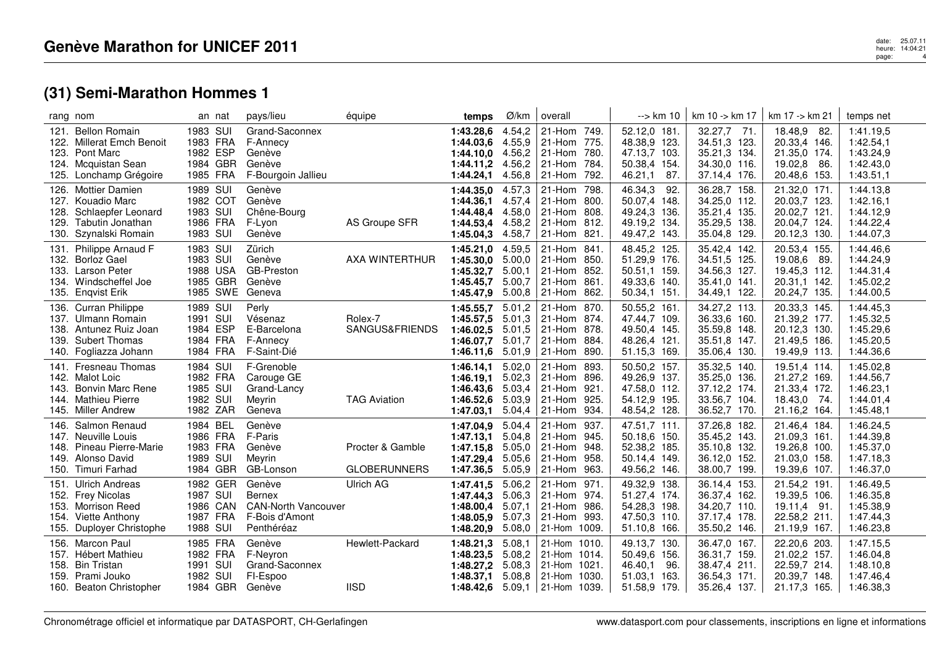| rang nom             |                                                                                                                       | an nat                                                          | pays/lieu                                                                      | équipe                                  | temps                                                                  | Ø/km                                           | overall                                                                      |                                      | --> km 10                                                                         | km 10 -> km 17                                                               | km 17 -> km 21                                                                     | temps net                                                     |
|----------------------|-----------------------------------------------------------------------------------------------------------------------|-----------------------------------------------------------------|--------------------------------------------------------------------------------|-----------------------------------------|------------------------------------------------------------------------|------------------------------------------------|------------------------------------------------------------------------------|--------------------------------------|-----------------------------------------------------------------------------------|------------------------------------------------------------------------------|------------------------------------------------------------------------------------|---------------------------------------------------------------|
| 125.                 | 121. Bellon Romain<br>122. Millerat Emch Benoit<br>123. Pont Marc<br>124. Mcquistan Sean<br>Lonchamp Grégoire         | 1983 SUI<br>1983 FRA<br>1982 ESP<br>1984 GBR<br>1985 FRA        | Grand-Saconnex<br>F-Annecy<br>Genève<br>Genève<br>F-Bourgoin Jallieu           |                                         | 1:43.28,6<br>1:44.03.6<br>$1:44.10,0$ 4.56,2<br>1:44.11,2<br>1:44.24,1 | 4.54,2<br>4.55,9<br>4.56,2<br>4.56,8           | 21-Hom 749.<br>21-Hom<br>21-Hom<br>21-Hom<br>21-Hom                          | 775.<br>780.<br>784.<br>792.         | 52.12,0 181.<br>48.38,9 123.<br>47.13,7 103.<br>50.38,4 154.<br>46.21,1<br>87.    | 32.27,7 71.<br>34.51,3 123.<br>35.21,3 134.<br>34.30,0 116.<br>37.14,4 176.  | 18.48,9<br>-82.<br>20.33,4 146.<br>21.35,0 174.<br>19.02,8<br>-86.<br>20.48,6 153. | 1:41.19,5<br>1:42.54,1<br>1:43.24,9<br>1:42.43,0<br>1:43.51,1 |
| 128.<br>129.<br>130. | 126. Mottier Damien<br>127. Kouadio Marc<br>Schlaepfer Leonard<br>Tabutin Jonathan<br>Szynalski Romain                | 1989 SUI<br>1982 COT<br>1983 SUI<br>1986 FRA<br>1983 SUI        | Genève<br>Genève<br>Chêne-Bourg<br>F-Lyon<br>Genève                            | AS Groupe SFR                           | 1:44.35,0 4.57,3<br>1:44.36,1<br>1:44.48.4<br>1:44.53,4<br>1:45.04,3   | 4.57,4<br>4.58,0<br>4.58,2<br>4.58,7           | 21-Hom<br>21-Hom<br>21-Hom<br>21-Hom<br>21-Hom                               | 798.<br>800.<br>808.<br>812.<br>821. | 46.34,3<br>92.<br>50.07,4 148.<br>49.24,3 136.<br>49.19,2<br>134.<br>49.47,2 143. | 36.28,7 158.<br>34.25,0 112.<br>35.21,4 135.<br>35.29,5 138.<br>35.04,8 129. | 21.32,0 171.<br>20.03,7 123.<br>20.02,7 121.<br>20.04,7 124.<br>20.12,3 130.       | 1:44.13,8<br>1:42.16,1<br>1:44.12,9<br>1:44.22,4<br>1:44.07,3 |
| 131.<br>134.         | Philippe Arnaud F<br>132. Borloz Gael<br>133. Larson Peter<br>Windscheffel Joe<br>135. Enqvist Erik                   | 1983 SUI<br>1983 SUI<br>1988 USA<br>1985 GBR<br>1985 SWE Geneva | Zürich<br>Genève<br><b>GB-Preston</b><br>Genève                                | AXA WINTERTHUR                          | 1:45.21,0<br>1:45.30,0<br>1:45.32.7<br>1:45.45.7<br>1:45.47,9          | 4.59,5<br>5.00,0<br>5.00,1<br>5.00,7<br>5.00,8 | 21-Hom<br>21-Hom<br>21-Hom<br>21-Hom<br>21-Hom                               | 841.<br>850.<br>852.<br>861.<br>862. | 48.45,2 125.<br>51.29,9 176.<br>50.51,1 159.<br>49.33,6 140.<br>50.34,1 151.      | 35.42,4 142.<br>34.51,5 125.<br>34.56,3 127.<br>35.41,0 141.<br>34.49,1 122. | 20.53,4 155.<br>19.08,6<br>- 89.<br>19.45,3 112.<br>20.31,1 142.<br>20.24,7 135.   | 1:44.46,6<br>1:44.24,9<br>1:44.31,4<br>1:45.02,2<br>1:44.00,5 |
| 139.                 | 136. Curran Philippe<br>137. Ulmann Romain<br>138. Antunez Ruiz Joan<br><b>Subert Thomas</b><br>140. Fogliazza Johann | 1989 SUI<br>1991 SUI<br>1984 ESP<br>1984 FRA<br>1984 FRA        | Perly<br>Vésenaz<br>E-Barcelona<br>F-Annecy<br>F-Saint-Dié                     | Rolex-7<br>SANGUS&FRIENDS               | 1:45.55,7<br>1:45.57,5<br>1:46.02,5<br>1:46.07.7<br>1:46.11,6          | 5.01,2<br>5.01,3<br>5.01,5<br>5.01,7<br>5.01,9 | 21-Hom<br>21-Hom 874.<br>21-Hom<br>21-Hom<br>21-Hom                          | 870.<br>878.<br>884.<br>890.         | 50.55,2 161.<br>47.44.7 109.<br>49.50,4 145.<br>48.26,4 121.<br>51.15,3 169.      | 34.27,2 113.<br>36.33,6 160.<br>35.59,8 148.<br>35.51,8 147.<br>35.06,4 130. | 20.33,3 145.<br>21.39,2 177.<br>20.12,3 130.<br>21.49,5 186.<br>19.49,9 113.       | 1:44.45,3<br>1:45.32,5<br>1:45.29,6<br>1:45.20,5<br>1:44.36,6 |
| 141.<br>143.         | <b>Fresneau Thomas</b><br>142. Malot Loic<br><b>Bonvin Marc Rene</b><br>144. Mathieu Pierre<br>145. Miller Andrew     | 1984 SUI<br>1982 FRA<br>1985 SUI<br>1982 SUI<br>1982 ZAR        | F-Grenoble<br>Carouge GE<br>Grand-Lancy<br>Meyrin<br>Geneva                    | <b>TAG Aviation</b>                     | 1:46.14,1<br>1:46.19,1<br>1:46.43.6<br>1:46.52,6<br>1:47.03.1          | 5.02,0<br>5.02,3<br>5.03,4<br>5.03,9<br>5.04,4 | 21-Hom<br>$21-Hom$<br>21-Hom<br>21-Hom<br>21-Hom                             | 893.<br>896.<br>921.<br>925.<br>934. | 50.50,2 157.<br>49.26,9 137.<br>47.58,0 112.<br>54.12,9 195.<br>48.54,2 128.      | 35.32,5 140.<br>35.25,0 136.<br>37.12,2 174.<br>33.56,7 104.<br>36.52,7 170. | 19.51,4 114.<br>21.27,2 169.<br>21.33,4 172.<br>18.43,0<br>-74.<br>21.16,2 164.    | 1:45.02,8<br>1:44.56,7<br>1:46.23,1<br>1:44.01,4<br>1:45.48,1 |
| 146.<br>148.<br>150. | Salmon Renaud<br>147. Neuville Louis<br>Pineau Pierre-Marie<br>149. Alonso David<br>Timuri Farhad                     | 1984 BEL<br>1986 FRA<br>1983 FRA<br>1989 SUI<br>1984 GBR        | Genève<br>F-Paris<br>Genève<br>Meyrin<br>GB-Lonson                             | Procter & Gamble<br><b>GLOBERUNNERS</b> | 1:47.04,9<br>1:47.13,1<br>1:47.15,8<br>1:47.29,4<br>1:47.36,5          | 5.04,4<br>5.04,8<br>5.05.0<br>5.05,6<br>5.05,9 | 21-Hom<br>21-Hom<br>21-Hom<br>21-Hom<br>21-Hom                               | 937.<br>945.<br>948.<br>958.<br>963. | 47.51,7 111.<br>50.18,6 150.<br>52.38,2 185.<br>50.14,4 149.<br>49.56,2 146.      | 37.26,8 182.<br>35.45,2 143.<br>35.10,8 132.<br>36.12,0 152.<br>38.00,7 199. | 21.46,4 184.<br>21.09,3 161.<br>19.26,8 100.<br>21.03,0 158.<br>19.39,6 107.       | 1:46.24,5<br>1:44.39,8<br>1:45.37,0<br>1:47.18,3<br>1:46.37,0 |
| 153.                 | 151. Ulrich Andreas<br>152. Frey Nicolas<br><b>Morrison Reed</b><br>154. Viette Anthony<br>155. Duployer Christophe   | 1982 GER<br>1987 SUI<br>1986 CAN<br>1987 FRA<br>1988 SUI        | Genève<br>Bernex<br><b>CAN-North Vancouver</b><br>F-Bois d'Amont<br>Penthéréaz | <b>Ulrich AG</b>                        | 1:47.41,5<br>1:47.44.3<br>1:48.00,4<br>1:48.05,9<br>1:48.20,9          | 5.06,2<br>5.06.3<br>5.07,1<br>5.07,3<br>5.08,0 | 21-Hom<br>21-Hom 974.<br>21-Hom<br>21-Hom 993.<br>21-Hom 1009.               | 971.<br>986.                         | 49.32,9<br>138.<br>51.27,4 174.<br>54.28,3 198.<br>47.50,3 110.<br>51.10,8 166.   | 36.14,4 153.<br>36.37,4 162.<br>34.20,7 110.<br>37.17,4 178.<br>35.50,2 146. | 21.54,2 191.<br>19.39,5 106.<br>19.11,4 91<br>22.58,2 211.<br>21.19,9 167.         | 1:46.49,5<br>1:46.35,8<br>1:45.38,9<br>1:47.44,3<br>1:46.23,8 |
| 158.                 | 156. Marcon Paul<br>157. Hébert Mathieu<br><b>Bin Tristan</b><br>159. Prami Jouko<br>160. Beaton Christopher          | 1985 FRA<br>1982 FRA<br>1991 SUI<br>1982 SUI<br>1984 GBR        | Genève<br>F-Neyron<br>Grand-Saconnex<br>FI-Espoo<br>Genève                     | Hewlett-Packard<br><b>IISD</b>          | 1:48.21,3<br>1:48.23,5<br>1:48.27,2<br>1:48.37,1<br>1:48.42,6 5.09,1   | 5.08,1<br>5.08,2<br>5.08.3<br>5.08,8           | 21-Hom 1010.<br>21-Hom 1014.<br>21-Hom 1021.<br>21-Hom 1030.<br>21-Hom 1039. |                                      | 49.13,7 130.<br>50.49,6 156.<br>46.40,1<br>96.<br>51.03.1<br>163.<br>51.58,9 179. | 36.47,0 167.<br>36.31,7 159.<br>38.47,4 211.<br>36.54,3 171.<br>35.26,4 137. | 22.20,6 203.<br>21.02,2 157.<br>22.59,7 214.<br>20.39,7 148.<br>21.17,3 165.       | 1:47.15,5<br>1:46.04,8<br>1:48.10,8<br>1:47.46.4<br>1:46.38,3 |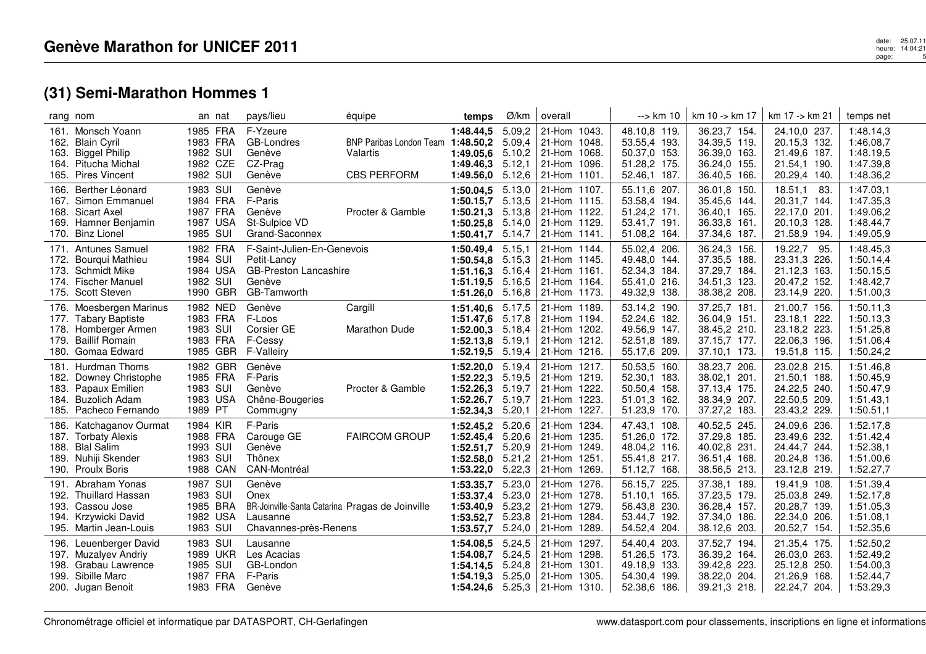|                              | rang nom                                                                                                           | an nat                                                   | pays/lieu                                                                                              | équipe                                                                     | temps                                                                                      | Ø/km                                           | overall                                                                         | --> km 10                                                                    | km 10 -> km 17                                                               | km 17 -> km 21                                                                  | temps net                                                     |
|------------------------------|--------------------------------------------------------------------------------------------------------------------|----------------------------------------------------------|--------------------------------------------------------------------------------------------------------|----------------------------------------------------------------------------|--------------------------------------------------------------------------------------------|------------------------------------------------|---------------------------------------------------------------------------------|------------------------------------------------------------------------------|------------------------------------------------------------------------------|---------------------------------------------------------------------------------|---------------------------------------------------------------|
| 163.                         | 161. Monsch Yoann<br>162. Blain Cyril<br><b>Biggel Philip</b><br>164. Pitucha Michal<br>165. Pires Vincent         | 1985 FRA<br>1983 FRA<br>1982 SUI<br>1982 CZE<br>1982 SUI | F-Yzeure<br>GB-Londres<br>Genève<br>CZ-Prag<br>Genève                                                  | BNP Paribas London Team 1:48.50,2 5.09,4<br>Valartis<br><b>CBS PERFORM</b> | 1:48.44,5<br>1:49.05,6<br>1:49.46,3<br>1:49.56,0                                           | 5.09,2<br>5.10,2<br>5.12,1<br>5.12,6           | 21-Hom 1043.<br>21-Hom 1048.<br>21-Hom 1068.<br>21-Hom 1096.<br>$ 21-Hom 1101.$ | 48.10,8 119.<br>53.55,4 193.<br>50.37,0 153.<br>51.28,2 175.<br>52.46,1 187. | 36.23,7 154.<br>34.39,5 119.<br>36.39,0 163.<br>36.24,0 155.<br>36.40,5 166. | 24.10,0 237.<br>20.15,3 132.<br>21.49,6 187.<br>21.54,1 190.<br>20.29,4 140.    | 1:48.14,3<br>1:46.08,7<br>1:48.19,5<br>1:47.39,8<br>1:48.36,2 |
|                              | 166. Berther Léonard<br>167. Simon Emmanuel<br>168. Sicart Axel<br>169. Hamner Benjamin<br>170. Binz Lionel        | 1983 SUI<br>1984 FRA<br>1987 FRA<br>1987 USA<br>1985 SUI | Genève<br>F-Paris<br>Genève<br>St-Sulpice VD<br>Grand-Saconnex                                         | Procter & Gamble                                                           | 1:50.04.5<br>1:50.15,7<br>1:50.21,3<br>1:50.25,8<br>1:50.41,7                              | 5.13,0<br>5.13,5<br>5.13,8<br>5.14,0<br>5.14,7 | 21-Hom 1107.<br>21-Hom 1115.<br>21-Hom 1122.<br>21-Hom 1129.<br>21-Hom 1141.    | 55.11,6 207.<br>53.58,4 194.<br>51.24,2 171.<br>53.41,7 191.<br>51.08,2 164. | 36.01,8 150.<br>35.45,6 144.<br>36.40,1 165.<br>36.33,8 161.<br>37.34,6 187. | 18.51,1<br>-83.<br>20.31,7 144.<br>22.17,0 201.<br>20.10,3 128.<br>21.58,9 194. | 1:47.03,1<br>1:47.35,3<br>1:49.06,2<br>1:48.44,7<br>1:49.05,9 |
| 173.                         | 171. Antunes Samuel<br>172. Bourqui Mathieu<br><b>Schmidt Mike</b><br>174. Fischer Manuel<br>175. Scott Steven     | 1982 FRA<br>1984 SUI<br>1984 USA<br>1982 SUI<br>1990 GBR | F-Saint-Julien-En-Genevois<br>Petit-Lancy<br><b>GB-Preston Lancashire</b><br>Genève<br>GB-Tamworth     |                                                                            | 1:50.49,4<br>1:50.54,8<br>$1:51.16,3$ $5.16,4$<br>1:51.19,5 5.16,5<br>1:51.26,0            | 5.15,1<br>5.15,3<br>5.16,8                     | 21-Hom 1144.<br>21-Hom 1145.<br>21-Hom 1161.<br>21-Hom 1164.<br>21-Hom 1173.    | 55.02,4 206.<br>49.48,0 144.<br>52.34,3 184.<br>55.41,0 216.<br>49.32,9 138. | 36.24,3 156.<br>37.35,5 188.<br>37.29,7 184.<br>34.51,3 123.<br>38.38,2 208. | 19.22,7<br>95.<br>23.31,3 226.<br>21.12,3 163.<br>20.47,2 152.<br>23.14,9 220.  | 1:48.45,3<br>1:50.14,4<br>1:50.15,5<br>1:48.42,7<br>1:51.00,3 |
| 177.<br>178.<br>179.         | 176. Moesbergen Marinus<br><b>Tabary Baptiste</b><br>Homberger Armen<br><b>Baillif Romain</b><br>180. Gomaa Edward | 1982 NED<br>1983 FRA<br>1983 SUI<br>1983 FRA<br>1985 GBR | Genève<br>F-Loos<br>Corsier GE<br>F-Cessy<br><b>F-Valleiry</b>                                         | Cargill<br><b>Marathon Dude</b>                                            | $1:51.40,6$ 5.17,5<br>1:51.47,6<br>1:52.00,3<br>1:52.13,8<br>1:52.19,5                     | 5.17,8<br>5.18,4<br>5.19,1<br>5.19,4           | 21-Hom 1189.<br>21-Hom 1194.<br>21-Hom 1202.<br>21-Hom 1212.<br>21-Hom 1216.    | 53.14,2 190.<br>52.24,6 182.<br>49.56,9 147.<br>52.51,8 189.<br>55.17,6 209. | 37.25,7 181.<br>36.04,9 151.<br>38.45,2 210.<br>37.15,7 177.<br>37.10,1 173. | 21.00,7 156.<br>23.18,1 222.<br>23.18,2 223.<br>22.06,3 196.<br>19.51,8 115.    | 1:50.11,3<br>1:50.13,3<br>1:51.25,8<br>1:51.06,4<br>1:50.24,2 |
| 181.<br>182.<br>183.<br>184. | Hurdman Thoms<br>Downey Christophe<br>Papaux Emilien<br><b>Buzolich Adam</b><br>185. Pacheco Fernando              | 1982 GBR<br>1985 FRA<br>1983 SUI<br>1983 USA<br>1989 PT  | Genève<br>F-Paris<br>Genève<br>Chêne-Bougeries<br>Commugny                                             | Procter & Gamble                                                           | 1:52.20,0<br>1:52.22,3<br>1:52.26,3<br>1:52.26,7<br>1:52.34,3                              | 5.19,4<br>5.19,5<br>5.19,7<br>5.19,7<br>5.20,1 | 21-Hom 1217.<br>21-Hom 1219.<br>21-Hom 1222.<br>21-Hom 1223.<br>21-Hom 1227.    | 50.53,5 160.<br>52.30,1 183.<br>50.50,4 158.<br>51.01,3 162.<br>51.23,9 170. | 38.23,7 206.<br>38.02,1 201.<br>37.13,4 175.<br>38.34,9 207.<br>37.27,2 183. | 23.02,8 215.<br>21.50,1 188.<br>24.22,5 240.<br>22.50,5 209.<br>23.43,2 229.    | 1:51.46,8<br>1:50.45,9<br>1:50.47,9<br>1:51.43,1<br>1:50.51,1 |
| 186.<br>188.<br>189.         | Katchaganov Ourmat<br>187. Torbaty Alexis<br><b>Blal Salim</b><br>Nuhiji Skender<br>190. Proulx Boris              | 1984 KIR<br>1988 FRA<br>1993 SUI<br>1983 SUI<br>1988 CAN | F-Paris<br>Carouge GE<br>Genève<br>Thônex<br>CAN-Montréal                                              | <b>FAIRCOM GROUP</b>                                                       | 1:52.45,2 5.20,6<br>1:52.45,4<br>1:52.51,7<br>$1:52.58,0$ $5.21,2$<br>1:53.22,0            | 5.20.6<br>5.20,9<br>5.22,3                     | 21-Hom 1234.<br>21-Hom 1235.<br>21-Hom 1249.<br>21-Hom 1251.<br>21-Hom 1269.    | 47.43,1 108.<br>51.26,0 172.<br>48.04,2 116.<br>55.41,8 217.<br>51.12,7 168. | 40.52,5 245.<br>37.29,8 185.<br>40.02,8 231.<br>36.51,4 168.<br>38.56,5 213. | 24.09,6 236.<br>23.49,6 232.<br>24.44,7 244.<br>20.24,8 136.<br>23.12,8 219.    | 1:52.17,8<br>1:51.42,4<br>1:52.38,1<br>1:51.00,6<br>1:52.27,7 |
| 191.<br>193.<br>194.         | Abraham Yonas<br>192. Thuillard Hassan<br>Cassou Jose<br>Krzywicki David<br>195. Martin Jean-Louis                 | 1987 SUI<br>1983 SUI<br>1985 BRA<br>1982 USA<br>1983 SUI | Genève<br>Onex<br>BR-Joinville-Santa Catarina Pragas de Joinville<br>Lausanne<br>Chavannes-près-Renens |                                                                            | 1:53.35,7<br>1:53.37,4<br>1:53.40,9<br>1:53.52.7<br>1:53.57,7                              | 5.23,0<br>5.23,0<br>5.23,2<br>5.23,8<br>5.24,0 | 21-Hom 1276.<br>21-Hom 1278.<br>21-Hom 1279.<br>21-Hom 1284.<br>21-Hom 1289.    | 56.15,7 225.<br>51.10,1 165.<br>56.43,8 230.<br>53.44,7 192.<br>54.52,4 204. | 37.38,1 189.<br>37.23,5 179.<br>36.28,4 157.<br>37.34,0 186.<br>38.12,6 203. | 19.41,9 108.<br>25.03,8 249.<br>20.28,7 139.<br>22.34,0 206.<br>20.52,7 154.    | 1:51.39,4<br>1:52.17,8<br>1:51.05,3<br>1:51.08,1<br>1:52.35,6 |
| 196.<br>198.<br>199.         | Leuenberger David<br>197. Muzalyev Andriy<br>Grabau Lawrence<br>Sibille Marc<br>200. Jugan Benoit                  | 1983 SUI<br>1989 UKR<br>1985 SUI<br>1987 FRA<br>1983 FRA | Lausanne<br>Les Acacias<br>GB-London<br>F-Paris<br>Genève                                              |                                                                            | 1:54.08,5<br>1:54.08.7<br>1:54.14,5<br>1:54.19,3 5.25,0<br>1:54.24,6 $5.25,3$ 21-Hom 1310. | 5.24,5<br>5.24,5<br>5.24,8                     | 21-Hom 1297.<br>21-Hom 1298.<br>21-Hom 1301.<br>21-Hom 1305.                    | 54.40,4 203.<br>51.26,5 173.<br>49.18,9 133.<br>54.30,4 199.<br>52.38,6 186. | 37.52,7 194.<br>36.39,2 164.<br>39.42,8 223.<br>38.22,0 204.<br>39.21,3 218. | 21.35,4 175.<br>26.03,0 263.<br>25.12,8 250.<br>21.26,9 168.<br>22.24,7 204.    | 1:52.50,2<br>1:52.49,2<br>1:54.00,3<br>1:52.44,7<br>1:53.29,3 |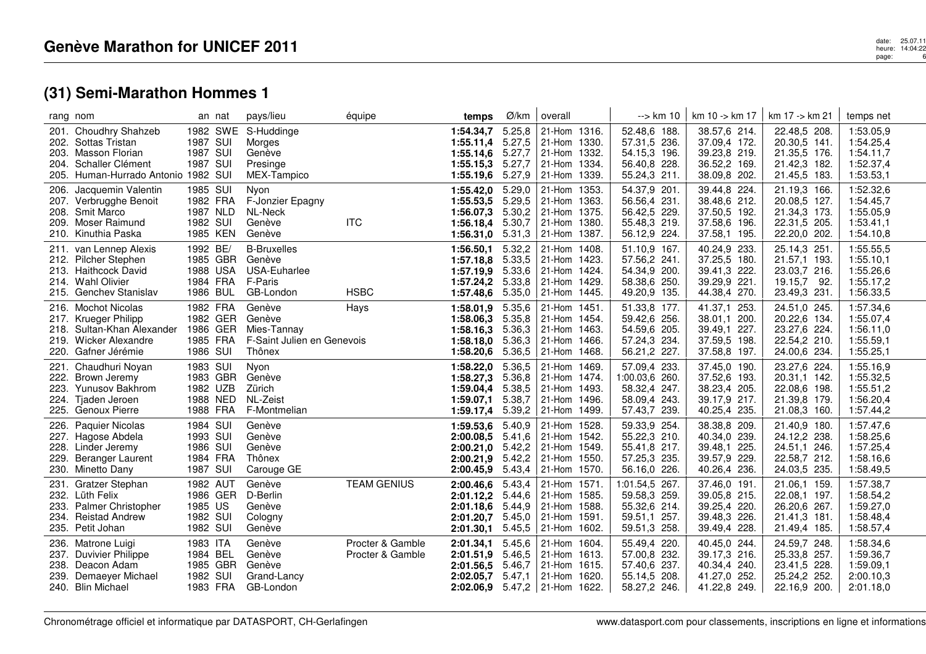|                      | rang nom                                                                                                                            |                                                          | an nat               | pays/lieu                                                               | équipe                               | temps                                                                                    | Ø/km                                 | overall                                                                         | --> km 10                                                                      | km 10 -> km 17                                                               | km 17 -> km 21                                                               | temps net                                                     |
|----------------------|-------------------------------------------------------------------------------------------------------------------------------------|----------------------------------------------------------|----------------------|-------------------------------------------------------------------------|--------------------------------------|------------------------------------------------------------------------------------------|--------------------------------------|---------------------------------------------------------------------------------|--------------------------------------------------------------------------------|------------------------------------------------------------------------------|------------------------------------------------------------------------------|---------------------------------------------------------------|
|                      | 201. Choudhry Shahzeb<br>202. Sottas Tristan<br>203. Masson Florian<br>204. Schaller Clément<br>205. Human-Hurrado Antonio 1982 SUI | 1987 SUI<br>1987 SUI<br>1987 SUI                         |                      | 1982 SWE S-Huddinge<br>Morges<br>Genève<br>Presinge<br>MEX-Tampico      |                                      | 1:54.34.7<br>$1:55.11,4$ 5.27,5<br>1:55.14,6 5.27,7<br>1:55.15,3<br>1:55.19,6            | 5.25,8<br>5.27,7<br>5.27,9           | 21-Hom 1316.<br>21-Hom 1330.<br>21-Hom 1332.<br>21-Hom 1334.<br>21-Hom 1339.    | 52.48,6 188.<br>57.31,5 236.<br>54.15.3 196.<br>56.40,8 228.<br>55.24,3 211.   | 38.57,6 214.<br>37.09,4 172.<br>39.23,8 219.<br>36.52,2 169.<br>38.09,8 202. | 22.48,5 208.<br>20.30,5 141.<br>21.35,5 176.<br>21.42,3 182.<br>21.45,5 183. | 1:53.05,9<br>1:54.25,4<br>1:54.11,7<br>1:52.37,4<br>1:53.53,1 |
| 206.                 | Jacquemin Valentin<br>207. Verbrugghe Benoit<br>208. Smit Marco<br>209. Moser Raimund<br>210. Kinuthia Paska                        | 1985 SUI<br>1982 FRA<br>1987 NLD<br>1982 SUI             | 1985 KEN             | Nyon<br>F-Jonzier Epagny<br>NL-Neck<br>Genève<br>Genève                 | <b>ITC</b>                           | 1:55.42.0<br>1:55.53,5<br>1:56.07,3 5.30,2<br>1:56.18,4 5.30,7<br>1:56.31,0              | 5.29,0<br>5.29,5<br>5.31,3           | 21-Hom 1353.<br>21-Hom 1363.<br>21-Hom 1375.<br>21-Hom 1380.<br>$ 21-Hom 1387.$ | 54.37,9 201.<br>56.56,4 231.<br>56.42,5 229.<br>55.48,3 219.<br>56.12,9 224.   | 39.44,8 224.<br>38.48,6 212.<br>37.50,5 192.<br>37.58,6 196.<br>37.58,1 195. | 21.19,3 166.<br>20.08,5 127.<br>21.34,3 173.<br>22.31,5 205.<br>22.20,0 202. | 1:52.32,6<br>1:54.45,7<br>1:55.05,9<br>1:53.41,1<br>1:54.10,8 |
|                      | 211. van Lennep Alexis<br>212. Pilcher Stephen<br>213. Haithcock David<br>214. Wahl Olivier<br>215. Genchev Stanislav               | 1992 BE/<br>1988 USA<br>1984 FRA<br>1986 BUL             | 1985 GBR             | <b>B-Bruxelles</b><br>Genève<br>USA-Euharlee<br>F-Paris<br>GB-London    | <b>HSBC</b>                          | 1:56.50,1<br>1:57.18,8 5.33,5<br>1:57.19,9 5.33,6<br>1:57.24,2 5.33,8<br>1:57.48,6       | 5.32,2<br>5.35,0                     | 21-Hom 1408.<br>21-Hom 1423.<br>21-Hom 1424.<br>21-Hom 1429.<br>21-Hom 1445.    | 51.10,9 167.<br>57.56,2 241.<br>54.34,9 200.<br>58.38,6 250.<br>49.20,9 135.   | 40.24,9 233.<br>37.25,5 180.<br>39.41,3 222.<br>39.29,9 221.<br>44.38,4 270. | 25.14,3 251<br>21.57,1 193.<br>23.03.7 216.<br>19.15,7 92.<br>23.49,3 231.   | 1:55.55,5<br>1:55.10,1<br>1:55.26,6<br>1:55.17,2<br>1:56.33,5 |
|                      | 216. Mochot Nicolas<br>217. Krueger Philipp<br>218. Sultan-Khan Alexander<br>219. Wicker Alexandre<br>220. Gafner Jérémie           | 1982 FRA<br>1985 FRA<br>1986 SUI                         | 1982 GER<br>1986 GER | Genève<br>Genève<br>Mies-Tannay<br>F-Saint Julien en Genevois<br>Thônex | Hays                                 | 1:58.01,9<br>1:58.06.3<br>1:58.16.3<br>1:58.18,0 5.36,3<br>1:58.20,6                     | 5.35,6<br>5.35,8<br>5.36,3<br>5.36,5 | 21-Hom 1451<br>21-Hom 1454.<br>21-Hom 1463.<br>21-Hom 1466.<br>21-Hom 1468.     | 51.33,8 177.<br>59.42,6 256.<br>54.59,6 205.<br>57.24,3 234.<br>56.21,2 227.   | 41.37,1 253.<br>38.01,1 200.<br>39.49,1 227.<br>37.59,5 198.<br>37.58,8 197. | 24.51,0 245.<br>20.22,6 134.<br>23.27,6 224.<br>22.54,2 210.<br>24.00,6 234. | 1:57.34,6<br>1:55.07,4<br>1:56.11,0<br>1:55.59,1<br>1:55.25,1 |
| 221.<br>223.<br>224. | Chaudhuri Noyan<br>222. Brown Jeremy<br>Yunusov Bakhrom<br>Tjaden Jeroen<br>225. Genoux Pierre                                      | 1983 SUI<br>1982 UZB<br>1988 FRA                         | 1983 GBR<br>1988 NED | Nyon<br>Genève<br>Zürich<br>NL-Zeist<br>F-Montmelian                    |                                      | 1:58.22,0<br>1:58.27,3<br>1:59.04,4<br>1:59.07,1 5.38,7<br>1:59.17,4                     | 5.36,5<br>5.36,8<br>5.38,5<br>5.39,2 | 21-Hom 1469.<br>21-Hom 1474.<br>21-Hom 1493.<br>21-Hom 1496.<br>21-Hom 1499.    | 57.09,4 233.<br>1:00.03,6 260.<br>58.32,4 247.<br>58.09,4 243.<br>57.43,7 239. | 37.45,0 190.<br>37.52,6 193.<br>38.23,4 205.<br>39.17,9 217.<br>40.25,4 235. | 23.27,6 224.<br>20.31,1 142.<br>22.08,6 198.<br>21.39,8 179.<br>21.08,3 160. | 1:55.16,9<br>1:55.32,5<br>1:55.51,2<br>1:56.20,4<br>1:57.44,2 |
| 226.<br>229.         | Paquier Nicolas<br>227. Hagose Abdela<br>228. Linder Jeremy<br>Beranger Laurent<br>230. Minetto Dany                                | 1984 SUI<br>1993 SUI<br>1986 SUI<br>1984 FRA<br>1987 SUI |                      | Genève<br>Genève<br>Genève<br>Thônex<br>Carouge GE                      |                                      | 1:59.53,6 5.40,9<br>2:00.08.5<br>2:00.21,0<br>2:00.21,9 5.42,2<br>2:00.45,9              | 5.41,6<br>5.42,2<br>5.43,4           | 21-Hom 1528.<br>21-Hom 1542.<br>21-Hom 1549.<br>21-Hom 1550.<br>21-Hom 1570.    | 59.33,9 254.<br>55.22,3 210.<br>55.41,8 217.<br>57.25,3 235.<br>56.16,0 226.   | 38.38,8 209.<br>40.34,0 239.<br>39.48,1 225.<br>39.57,9 229.<br>40.26,4 236. | 21.40,9 180.<br>24.12,2 238.<br>24.51,1 246.<br>22.58,7 212.<br>24.03,5 235. | 1:57.47,6<br>1:58.25,6<br>1:57.25,4<br>1:58.16,6<br>1:58.49,5 |
| 231.                 | <b>Gratzer Stephan</b><br>232. Lüth Felix<br>233. Palmer Christopher<br>234. Reistad Andrew<br>235. Petit Johan                     | 1982 AUT<br>1985 US<br>1982 SUI<br>1982 SUI              | 1986 GER             | Genève<br>D-Berlin<br>Genève<br>Cologny<br>Genève                       | <b>TEAM GENIUS</b>                   | 2:00.46,6<br>2:01.12,2 5.44,6<br>2:01.18,6<br>2:01.20.7<br>2:01.30,1                     | 5.43,4<br>5.44,9<br>5.45,0<br>5.45,5 | 21-Hom 1571.<br>21-Hom 1585.<br>21-Hom 1588.<br>21-Hom 1591.<br>21-Hom 1602.    | 1:01.54,5 267.<br>59.58,3 259.<br>55.32,6 214.<br>59.51,1 257.<br>59.51,3 258. | 37.46,0 191.<br>39.05,8 215.<br>39.25,4 220.<br>39.48,3 226.<br>39.49,4 228. | 21.06,1 159.<br>22.08,1 197.<br>26.20,6 267.<br>21.41,3 181.<br>21.49,4 185. | 1:57.38,7<br>1:58.54,2<br>1:59.27,0<br>1:58.48,4<br>1:58.57,4 |
| 236.<br>239.         | Matrone Luigi<br>237. Duvivier Philippe<br>238. Deacon Adam<br>Demaeyer Michael<br>240. Blin Michael                                | 1983 ITA<br>1984 BEL<br>1982 SUI<br>1983 FRA             | 1985 GBR             | Genève<br>Genève<br>Genève<br>Grand-Lancy<br>GB-London                  | Procter & Gamble<br>Procter & Gamble | 2:01.34,1<br>2:01.51.9<br>2:01.56.5<br>2:02.05,7<br><b>2:02.06,9</b> 5.47,2 21-Hom 1622. | 5.45,6<br>5.46,5<br>5.46,7<br>5.47,1 | 21-Hom 1604.<br>21-Hom 1613.<br>21-Hom 1615.<br>21-Hom 1620.                    | 55.49,4 220.<br>57.00,8 232.<br>57.40,6 237.<br>55.14,5 208.<br>58.27,2 246.   | 40.45,0 244.<br>39.17,3 216.<br>40.34,4 240.<br>41.27,0 252.<br>41.22,8 249. | 24.59,7 248.<br>25.33,8 257.<br>23.41,5 228.<br>25.24,2 252.<br>22.16,9 200. | 1:58.34,6<br>1:59.36,7<br>1:59.09,1<br>2:00.10,3<br>2:01.18,0 |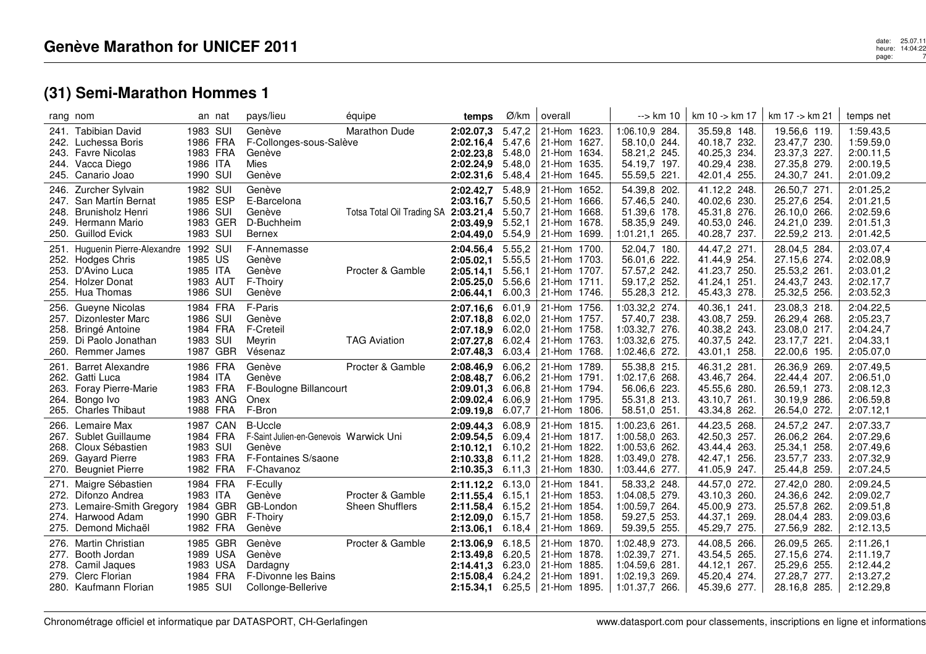| rang nom                                                                                                                             | an nat                                                   | pays/lieu                                                                                               | équipe                               | temps                                                                  | Ø/km                                           | overall                                                                               | --> km 10                                                                              | km 10 -> km 17                                                               | km 17 -> km 21                                                               | temps net                                                     |
|--------------------------------------------------------------------------------------------------------------------------------------|----------------------------------------------------------|---------------------------------------------------------------------------------------------------------|--------------------------------------|------------------------------------------------------------------------|------------------------------------------------|---------------------------------------------------------------------------------------|----------------------------------------------------------------------------------------|------------------------------------------------------------------------------|------------------------------------------------------------------------------|---------------------------------------------------------------|
| 241. Tabibian David<br>242. Luchessa Boris<br>243. Favre Nicolas<br>244. Vacca Diego<br>245. Canario Joao                            | 1983 SUI<br>1986 FRA<br>1983 FRA<br>1986 ITA<br>1990 SUI | Genève<br>F-Collonges-sous-Salève<br>Genève<br><b>Mies</b><br>Genève                                    | <b>Marathon Dude</b>                 | 2:02.07,3<br>2:02.16,4<br>2:02.23,8<br>2:02.24,9<br>2:02.31,6          | 5.47,2<br>5.47,6<br>5.48,0<br>5.48,0<br>5.48,4 | 21-Hom 1623.<br>21-Hom 1627.<br>21-Hom 1634.<br>21-Hom 1635.<br>21-Hom 1645.          | 1:06.10,9 284.<br>58.10,0 244.<br>58.21,2 245.<br>54.19,7 197.<br>55.59,5 221.         | 35.59,8 148.<br>40.18,7 232.<br>40.25,3 234.<br>40.29,4 238.<br>42.01,4 255. | 19.56,6 119.<br>23.47,7 230.<br>23.37,3 227.<br>27.35,8 279.<br>24.30,7 241. | 1:59.43,5<br>1:59.59,0<br>2:00.11,5<br>2:00.19,5<br>2:01.09,2 |
| 246. Zurcher Sylvain<br>247. San Martín Bernat<br>248. Brunisholz Henri<br>249. Hermann Mario<br>250. Guillod Evick                  | 1982 SUI<br>1985 ESP<br>1986 SUI<br>1983 GER<br>1983 SUI | Genève<br>E-Barcelona<br>Genève<br>D-Buchheim<br><b>Bernex</b>                                          | Totsa Total Oil Trading SA 2:03.21,4 | 2:02.42,7<br>2:03.16,7<br>2:03.49.9<br>2:04.49,0                       | 5.48,9<br>5.50,5<br>5.50,7<br>5.52,1<br>5.54,9 | 21-Hom 1652.<br>21-Hom 1666.<br>21-Hom 1668.<br>21-Hom 1678.<br>21-Hom 1699.          | 54.39,8 202.<br>57.46,5 240.<br>51.39,6 178.<br>58.35,9<br>249.<br>1:01.21,1 265.      | 41.12,2 248.<br>40.02,6 230.<br>45.31,8 276.<br>40.53,0 246.<br>40.28,7 237. | 26.50,7 271.<br>25.27,6 254.<br>26.10,0 266.<br>24.21,0 239.<br>22.59,2 213. | 2:01.25,2<br>2:01.21,5<br>2:02.59,6<br>2:01.51,3<br>2:01.42,5 |
| Huguenin Pierre-Alexandre 1992 SUI<br>251.<br>252. Hodges Chris<br>253. D'Avino Luca<br>254. Holzer Donat<br>255. Hua Thomas         | 1985 US<br>1985 ITA<br>1983 AUT<br>1986 SUI              | F-Annemasse<br>Genève<br>Genève<br>F-Thoiry<br>Genève                                                   | Procter & Gamble                     | 2:04.56,4<br>2:05.02,1<br>2:05.14.1<br>2:05.25,0<br>2:06.44,1          | 5.55,2<br>5.55.5<br>5.56,1<br>5.56.6<br>6.00,3 | 21-Hom 1700.<br>21-Hom 1703.<br>21-Hom 1707.<br>21-Hom 1711.<br>21-Hom 1746.          | 52.04,7 180.<br>56.01,6 222.<br>57.57,2 242.<br>59.17,2 252.<br>55.28,3 212.           | 44.47,2 271.<br>41.44,9 254.<br>41.23,7 250.<br>41.24,1 251.<br>45.43,3 278. | 28.04,5 284.<br>27.15,6 274.<br>25.53,2 261.<br>24.43,7 243.<br>25.32,5 256. | 2:03.07,4<br>2:02.08.9<br>2:03.01,2<br>2:02.17,7<br>2:03.52,3 |
| 256. Gueyne Nicolas<br>257. Dizonlester Marc<br>258. Bringé Antoine<br>259. Di Paolo Jonathan<br>260. Remmer James                   | 1984 FRA<br>1986 SUI<br>1984 FRA<br>1983 SUI<br>1987 GBR | F-Paris<br>Genève<br>F-Creteil<br>Meyrin<br>Vésenaz                                                     | <b>TAG Aviation</b>                  | 2:07.16,6<br>$2:07.18,8$ 6.02,0<br>2:07.18,9<br>2:07.27,8<br>2:07.48,3 | 6.01,9<br>6.02,0<br>6.02,4<br>6.03,4           | 21-Hom 1756.<br>21-Hom 1757.<br>21-Hom 1758.<br>21-Hom 1763.<br>21-Hom 1768.          | 1:03.32,2 274.<br>57.40.7 238.<br>1:03.32,7 276.<br>1:03.32,6 275.<br>1:02.46,6 272.   | 40.36,1 241.<br>43.08,7 259.<br>40.38,2 243.<br>40.37,5 242.<br>43.01,1 258. | 23.08,3 218.<br>26.29,4 268.<br>23.08,0 217.<br>23.17,7 221.<br>22.00,6 195. | 2:04.22,5<br>2:05.23,7<br>2:04.24,7<br>2:04.33,1<br>2:05.07,0 |
| <b>Barret Alexandre</b><br>261.<br>262. Gatti Luca<br>263. Foray Pierre-Marie<br>Bongo Ivo<br>264.<br><b>Charles Thibaut</b><br>265. | 1986 FRA<br>1984 ITA<br>1983 FRA<br>1983 ANG<br>1988 FRA | Genève<br>Genève<br>F-Boulogne Billancourt<br>Onex<br>F-Bron                                            | Procter & Gamble                     | 2:08.46,9<br>2:08.48.7<br>2:09.01,3<br>2:09.02,4<br>2:09.19,8          | 6.06,2<br>6.06,2<br>6.06.8<br>6.06.9<br>6.07,7 | 21-Hom 1789.<br>21-Hom 1791.<br>21-Hom 1794.<br>21-Hom 1795.<br>21-Hom 1806.          | 55.38,8 215.<br>1:02.17,6 268.<br>56.06,6 223.<br>55.31,8 213.<br>58.51,0 251.         | 46.31,2 281.<br>43.46,7 264.<br>45.55,6 280.<br>43.10,7 261.<br>43.34,8 262. | 26.36,9 269.<br>22.44,4 207.<br>26.59,1 273.<br>30.19,9 286.<br>26.54,0 272. | 2:07.49,5<br>2:06.51,0<br>2:08.12,3<br>2:06.59,8<br>2:07.12,1 |
| Lemaire Max<br>266.<br>267. Sublet Guillaume<br>268. Cloux Sébastien<br>269. Gayard Pierre<br><b>Beugniet Pierre</b><br>270.         | 1987 CAN<br>1984 FRA<br>1983 SUI<br>1983 FRA<br>1982 FRA | <b>B-Uccle</b><br>F-Saint Julien-en-Genevois Warwick Uni<br>Genève<br>F-Fontaines S/saone<br>F-Chavanoz |                                      | 2:09.44,3<br>2:09.54,5<br>2:10.12,1<br>2:10.33,8<br>$2:10.35,3$ 6.11,3 | 6.08,9<br>6.09,4<br>6.10,2<br>6.11,2           | 21-Hom 1815.<br>21-Hom 1817.<br>21-Hom 1822.<br>21-Hom 1828.<br>21-Hom 1830.          | 1:00.23,6 261.<br>1:00.58,0 263.<br>1:00.53,6 262.<br>1:03.49,0 278.<br>1:03.44,6 277. | 44.23,5 268.<br>42.50,3 257.<br>43.44,4 263.<br>42.47,1 256.<br>41.05,9 247. | 24.57,2 247.<br>26.06,2 264.<br>25.34,1 258.<br>23.57,7 233.<br>25.44,8 259. | 2:07.33,7<br>2:07.29,6<br>2:07.49,6<br>2:07.32,9<br>2:07.24,5 |
| Maigre Sébastien<br>271.<br>272. Difonzo Andrea<br>273.<br>Lemaire-Smith Gregory<br>274. Harwood Adam<br>275. Demond Michaël         | 1984 FRA<br>1983 ITA<br>1984 GBR<br>1990 GBR<br>1982 FRA | F-Ecully<br>Genève<br>GB-London<br>F-Thoiry<br>Genève                                                   | Procter & Gamble<br>Sheen Shufflers  | 2:11.12,2<br>2:11.55,4<br>2:11.58,4<br>2:12.09,0<br>2:13.06,1          | 6.13,0<br>6.15.1<br>6.15,2<br>6.15,7<br>6.18,4 | 21-Hom 1841.<br>21-Hom 1853.<br>21-Hom 1854.<br>21-Hom 1858.<br>21-Hom 1869.          | 58.33,2 248.<br>1:04.08,5 279.<br>1:00.59,7 264.<br>59.27,5 253.<br>59.39,5 255.       | 44.57,0 272.<br>43.10,3 260.<br>45.00,9 273.<br>44.37,1 269.<br>45.29,7 275. | 27.42,0 280.<br>24.36,6 242.<br>25.57,8 262.<br>28.04,4 283.<br>27.56,9 282. | 2:09.24,5<br>2:09.02,7<br>2:09.51,8<br>2:09.03,6<br>2:12.13,5 |
| Martin Christian<br>276.<br>Booth Jordan<br>277.<br>278. Camil Jaques<br>279. Clerc Florian<br>280. Kaufmann Florian                 | 1985 GBR<br>1989 USA<br>1983 USA<br>1984 FRA<br>1985 SUI | Genève<br>Genève<br>Dardagny<br>F-Divonne les Bains<br>Collonge-Bellerive                               | Procter & Gamble                     | 2:13.06.9<br>2:13.49.8<br>2:14.41,3<br>2:15.08,4 6.24,2<br>2:15.34.1   | 6.18,5<br>6.20,5<br>6.23,0                     | 21-Hom 1870.<br>21-Hom 1878.<br>21-Hom 1885.<br>21-Hom 1891.<br>6.25,5   21-Hom 1895. | 1:02.48,9 273.<br>1:02.39,7 271.<br>1:04.59,6 281.<br>1:02.19,3 269.<br>1:01.37,7 266. | 44.08,5 266.<br>43.54,5 265.<br>44.12,1 267.<br>45.20,4 274.<br>45.39,6 277. | 26.09,5 265.<br>27.15,6 274.<br>25.29,6 255.<br>27.28,7 277.<br>28.16,8 285. | 2:11.26,1<br>2:11.19,7<br>2:12.44,2<br>2:13.27,2<br>2:12.29,8 |